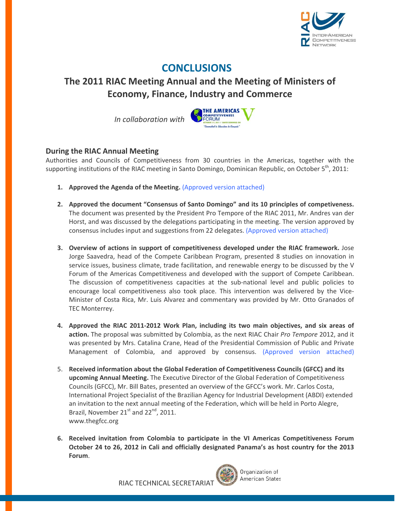

## **CONCLUSIONS**

## **The 2011 RIAC Meeting Annual and the Meeting of Ministers of Economy, Finance, Industry and Commerce**

 *In collaboration with*



## **During the RIAC Annual Meeting**

Authorities and Councils of Competitiveness from 30 countries in the Americas, together with the supporting institutions of the RIAC meeting in Santo Domingo, Dominican Republic, on October 5<sup>th</sup>, 2011:

- **1. Approved the Agenda of the Meeting.** (Approved version attached)
- **2. Approved the document "Consensus of Santo Domingo" and its 10 principles of competiveness.** The document was presented by the President Pro Tempore of the RIAC 2011, Mr. Andres van der Horst, and was discussed by the delegations participating in the meeting. The version approved by consensus includes input and suggestions from 22 delegates. (Approved version attached)
- **3. Overview of actions in support of competitiveness developed under the RIAC framework.** Jose Jorge Saavedra, head of the Compete Caribbean Program, presented 8 studies on innovation in service issues, business climate, trade facilitation, and renewable energy to be discussed by the V Forum of the Americas Competitiveness and developed with the support of Compete Caribbean. The discussion of competitiveness capacities at the sub-national level and public policies to encourage local competitiveness also took place. This intervention was delivered by the Vice-Minister of Costa Rica, Mr. Luis Alvarez and commentary was provided by Mr. Otto Granados of TEC Monterrey.
- **4. Approved the RIAC 2011‐2012 Work Plan, including its two main objectives, and six areas of action.** The proposal was submitted by Colombia, as the next RIAC Chair *Pro Tempore* 2012, and it was presented by Mrs. Catalina Crane, Head of the Presidential Commission of Public and Private Management of Colombia, and approved by consensus. (Approved version attached)
- 5. **Received information about the Global Federation of Competitiveness Councils (GFCC) and its upcoming Annual Meeting.** The Executive Director of the Global Federation of Competitiveness Councils (GFCC), Mr. Bill Bates, presented an overview of the GFCC's work. Mr. Carlos Costa, International Project Specialist of the Brazilian Agency for Industrial Development (ABDI) extended an invitation to the next annual meeting of the Federation, which will be held in Porto Alegre, Brazil, November 21<sup>st</sup> and 22<sup>nd</sup>, 2011. www.thegfcc.org
- **6. Received invitation from Colombia to participate in the VI Americas Competitiveness Forum October 24 to 26, 2012 in Cali and officially designated Panama's as host country for the 2013 Forum**.

RIAC TECHNICAL SECRETARIAT



Organization of **American States**